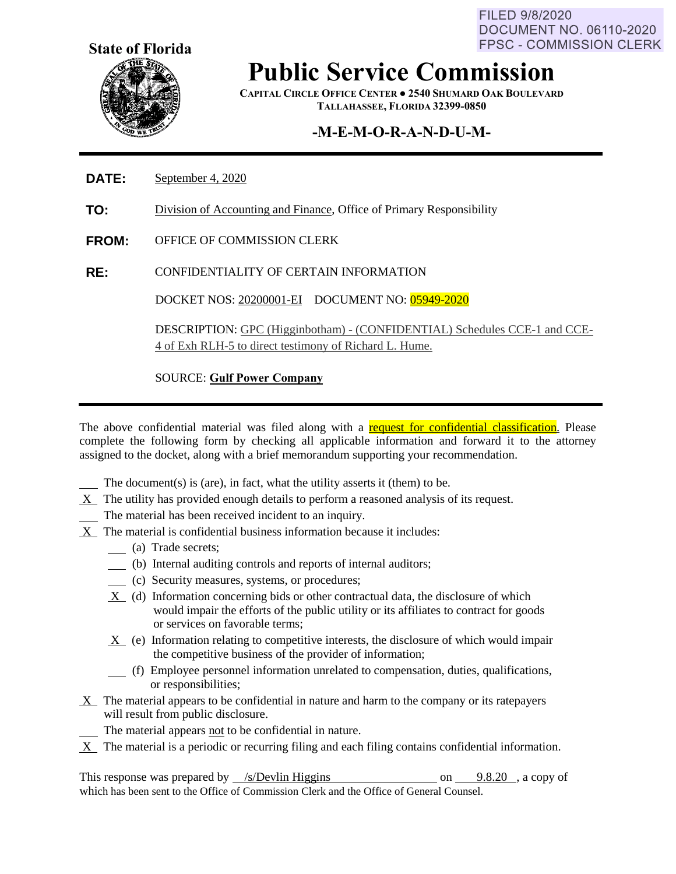FILED 9/8/2020 **DOCUMENT NO. 06110-2020 FPSC - COMMISSION CLERK** 



# **Public Service Commission**

**CAPITAL CIRCLE OFFICE CENTER ● 2540 SHUMARD OAK BOULEVARD TALLAHASSEE, FLORIDA 32399-0850**

### **-M-E-M-O-R-A-N-D-U-M-**

- **DATE:** September 4, 2020
- **TO:** Division of Accounting and Finance, Office of Primary Responsibility
- **FROM:** OFFICE OF COMMISSION CLERK
- **RE:** CONFIDENTIALITY OF CERTAIN INFORMATION

DOCKET NOS: 20200001-EI DOCUMENT NO: 05949-2020

DESCRIPTION: GPC (Higginbotham) - (CONFIDENTIAL) Schedules CCE-1 and CCE-4 of Exh RLH-5 to direct testimony of Richard L. Hume.

#### SOURCE: **Gulf Power Company**

The above confidential material was filed along with a request for confidential classification. Please complete the following form by checking all applicable information and forward it to the attorney assigned to the docket, along with a brief memorandum supporting your recommendation.

- The document(s) is (are), in fact, what the utility asserts it (them) to be.
- X The utility has provided enough details to perform a reasoned analysis of its request.
- The material has been received incident to an inquiry.
- X The material is confidential business information because it includes:
	- (a) Trade secrets;
	- (b) Internal auditing controls and reports of internal auditors;
	- (c) Security measures, systems, or procedures;
	- X (d) Information concerning bids or other contractual data, the disclosure of which would impair the efforts of the public utility or its affiliates to contract for goods or services on favorable terms;
	- X (e) Information relating to competitive interests, the disclosure of which would impair the competitive business of the provider of information;
	- (f) Employee personnel information unrelated to compensation, duties, qualifications, or responsibilities;
- X The material appears to be confidential in nature and harm to the company or its ratepayers will result from public disclosure.
	- The material appears not to be confidential in nature.
- $X$  The material is a periodic or recurring filing and each filing contains confidential information.

This response was prepared by  $\frac{\sqrt{s}}{2}$  /s /Devlin Higgins on 9.8.20 , a copy of which has been sent to the Office of Commission Clerk and the Office of General Counsel.